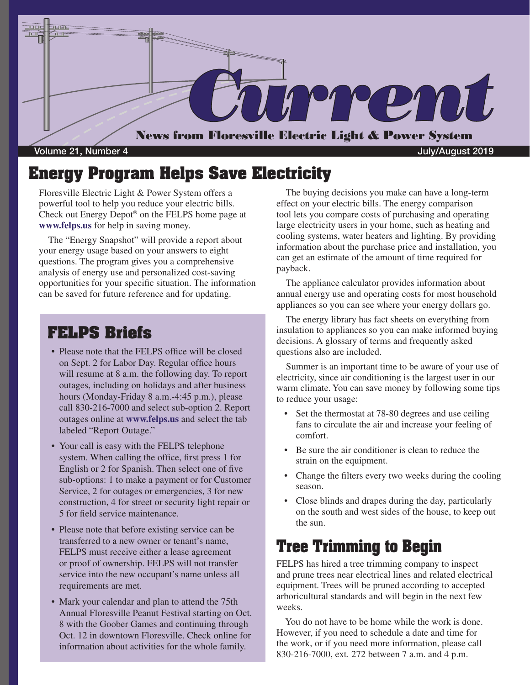

### **Energy Program Helps Save Electricity**

Floresville Electric Light & Power System offers a powerful tool to help you reduce your electric bills. Check out Energy Depot® on the FELPS home page at **www.felps.us** for help in saving money.

 The "Energy Snapshot" will provide a report about your energy usage based on your answers to eight questions. The program gives you a comprehensive analysis of energy use and personalized cost-saving opportunities for your specific situation. The information can be saved for future reference and for updating.

#### **FELPS Briefs**

- Please note that the FELPS office will be closed on Sept. 2 for Labor Day. Regular office hours will resume at 8 a.m. the following day. To report outages, including on holidays and after business hours (Monday-Friday 8 a.m.-4:45 p.m.), please call 830-216-7000 and select sub-option 2. Report outages online at **www.felps.us** and select the tab labeled "Report Outage."
- Your call is easy with the FELPS telephone system. When calling the office, first press 1 for English or 2 for Spanish. Then select one of five sub-options: 1 to make a payment or for Customer Service, 2 for outages or emergencies, 3 for new construction, 4 for street or security light repair or 5 for field service maintenance.
- Please note that before existing service can be transferred to a new owner or tenant's name, FELPS must receive either a lease agreement or proof of ownership. FELPS will not transfer service into the new occupant's name unless all requirements are met.
- Mark your calendar and plan to attend the 75th Annual Floresville Peanut Festival starting on Oct. 8 with the Goober Games and continuing through Oct. 12 in downtown Floresville. Check online for information about activities for the whole family.

 The buying decisions you make can have a long-term effect on your electric bills. The energy comparison tool lets you compare costs of purchasing and operating large electricity users in your home, such as heating and cooling systems, water heaters and lighting. By providing information about the purchase price and installation, you can get an estimate of the amount of time required for payback.

 The appliance calculator provides information about annual energy use and operating costs for most household appliances so you can see where your energy dollars go.

 The energy library has fact sheets on everything from insulation to appliances so you can make informed buying decisions. A glossary of terms and frequently asked questions also are included.

 Summer is an important time to be aware of your use of electricity, since air conditioning is the largest user in our warm climate. You can save money by following some tips to reduce your usage:

- Set the thermostat at 78-80 degrees and use ceiling fans to circulate the air and increase your feeling of comfort.
- Be sure the air conditioner is clean to reduce the strain on the equipment.
- Change the filters every two weeks during the cooling season.
- Close blinds and drapes during the day, particularly on the south and west sides of the house, to keep out the sun.

## **Tree Trimming to Begin**

FELPS has hired a tree trimming company to inspect and prune trees near electrical lines and related electrical equipment. Trees will be pruned according to accepted arboricultural standards and will begin in the next few weeks.

 You do not have to be home while the work is done. However, if you need to schedule a date and time for the work, or if you need more information, please call 830-216-7000, ext. 272 between 7 a.m. and 4 p.m.